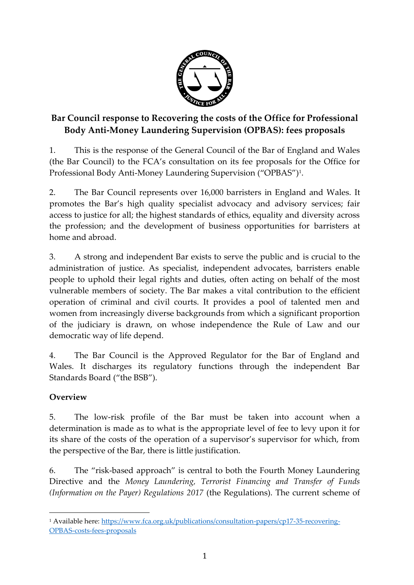

# **Bar Council response to Recovering the costs of the Office for Professional Body Anti-Money Laundering Supervision (OPBAS): fees proposals**

1. This is the response of the General Council of the Bar of England and Wales (the Bar Council) to the FCA's consultation on its fee proposals for the Office for Professional Body Anti-Money Laundering Supervision ("OPBAS")<sup>1</sup> .

2. The Bar Council represents over 16,000 barristers in England and Wales. It promotes the Bar's high quality specialist advocacy and advisory services; fair access to justice for all; the highest standards of ethics, equality and diversity across the profession; and the development of business opportunities for barristers at home and abroad.

3. A strong and independent Bar exists to serve the public and is crucial to the administration of justice. As specialist, independent advocates, barristers enable people to uphold their legal rights and duties, often acting on behalf of the most vulnerable members of society. The Bar makes a vital contribution to the efficient operation of criminal and civil courts. It provides a pool of talented men and women from increasingly diverse backgrounds from which a significant proportion of the judiciary is drawn, on whose independence the Rule of Law and our democratic way of life depend.

4. The Bar Council is the Approved Regulator for the Bar of England and Wales. It discharges its regulatory functions through the independent Bar Standards Board ("the BSB").

# **Overview**

 $\overline{\phantom{a}}$ 

5. The low-risk profile of the Bar must be taken into account when a determination is made as to what is the appropriate level of fee to levy upon it for its share of the costs of the operation of a supervisor's supervisor for which, from the perspective of the Bar, there is little justification.

6. The "risk-based approach" is central to both the Fourth Money Laundering Directive and the *Money Laundering, Terrorist Financing and Transfer of Funds (Information on the Payer) Regulations 2017* (the Regulations). The current scheme of

<sup>1</sup> Available here[: https://www.fca.org.uk/publications/consultation-papers/cp17-35-recovering-](https://www.fca.org.uk/publications/consultation-papers/cp17-35-recovering-OPBAS-costs-fees-proposals)[OPBAS-costs-fees-proposals](https://www.fca.org.uk/publications/consultation-papers/cp17-35-recovering-OPBAS-costs-fees-proposals)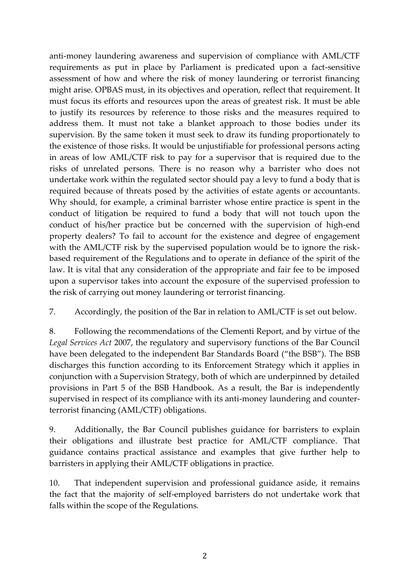anti-money laundering awareness and supervision of compliance with AML/CTF requirements as put in place by Parliament is predicated upon a fact-sensitive assessment of how and where the risk of money laundering or terrorist financing might arise. OPBAS must, in its objectives and operation, reflect that requirement. It must focus its efforts and resources upon the areas of greatest risk. It must be able to justify its resources by reference to those risks and the measures required to address them. It must not take a blanket approach to those bodies under its supervision. By the same token it must seek to draw its funding proportionately to the existence of those risks. It would be unjustifiable for professional persons acting in areas of low AML/CTF risk to pay for a supervisor that is required due to the risks of unrelated persons. There is no reason why a barrister who does not undertake work within the regulated sector should pay a levy to fund a body that is required because of threats posed by the activities of estate agents or accountants. Why should, for example, a criminal barrister whose entire practice is spent in the conduct of litigation be required to fund a body that will not touch upon the conduct of his/her practice but be concerned with the supervision of high-end property dealers? To fail to account for the existence and degree of engagement with the AML/CTF risk by the supervised population would be to ignore the riskbased requirement of the Regulations and to operate in defiance of the spirit of the law. It is vital that any consideration of the appropriate and fair fee to be imposed upon a supervisor takes into account the exposure of the supervised profession to the risk of carrying out money laundering or terrorist financing.

7. Accordingly, the position of the Bar in relation to AML/CTF is set out below.

8. Following the recommendations of the Clementi Report, and by virtue of the *Legal Services Act* 2007, the regulatory and supervisory functions of the Bar Council have been delegated to the independent Bar Standards Board ("the BSB"). The BSB discharges this function according to its Enforcement Strategy which it applies in conjunction with a Supervision Strategy, both of which are underpinned by detailed provisions in Part 5 of the BSB Handbook. As a result, the Bar is independently supervised in respect of its compliance with its anti-money laundering and counterterrorist financing (AML/CTF) obligations.

9. Additionally, the Bar Council publishes guidance for barristers to explain their obligations and illustrate best practice for AML/CTF compliance. That guidance contains practical assistance and examples that give further help to barristers in applying their AML/CTF obligations in practice.

10. That independent supervision and professional guidance aside, it remains the fact that the majority of self-employed barristers do not undertake work that falls within the scope of the Regulations.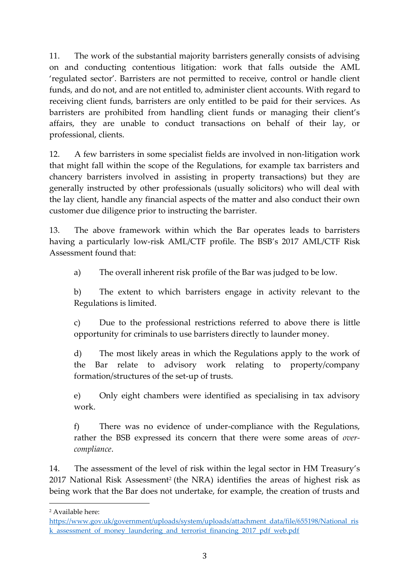11. The work of the substantial majority barristers generally consists of advising on and conducting contentious litigation: work that falls outside the AML 'regulated sector'. Barristers are not permitted to receive, control or handle client funds, and do not, and are not entitled to, administer client accounts. With regard to receiving client funds, barristers are only entitled to be paid for their services. As barristers are prohibited from handling client funds or managing their client's affairs, they are unable to conduct transactions on behalf of their lay, or professional, clients.

12. A few barristers in some specialist fields are involved in non-litigation work that might fall within the scope of the Regulations, for example tax barristers and chancery barristers involved in assisting in property transactions) but they are generally instructed by other professionals (usually solicitors) who will deal with the lay client, handle any financial aspects of the matter and also conduct their own customer due diligence prior to instructing the barrister.

13. The above framework within which the Bar operates leads to barristers having a particularly low-risk AML/CTF profile. The BSB's 2017 AML/CTF Risk Assessment found that:

a) The overall inherent risk profile of the Bar was judged to be low.

b) The extent to which barristers engage in activity relevant to the Regulations is limited.

c) Due to the professional restrictions referred to above there is little opportunity for criminals to use barristers directly to launder money.

d) The most likely areas in which the Regulations apply to the work of the Bar relate to advisory work relating to property/company formation/structures of the set-up of trusts.

e) Only eight chambers were identified as specialising in tax advisory work.

f) There was no evidence of under-compliance with the Regulations, rather the BSB expressed its concern that there were some areas of *overcompliance*.

14. The assessment of the level of risk within the legal sector in HM Treasury's 2017 National Risk Assessment<sup>2</sup> (the NRA) identifies the areas of highest risk as being work that the Bar does not undertake, for example, the creation of trusts and

 $\overline{\phantom{a}}$ 

<sup>2</sup> Available here:

[https://www.gov.uk/government/uploads/system/uploads/attachment\\_data/file/655198/National\\_ris](https://www.gov.uk/government/uploads/system/uploads/attachment_data/file/655198/National_risk_assessment_of_money_laundering_and_terrorist_financing_2017_pdf_web.pdf) k assessment of money laundering and terrorist financing 2017 pdf web.pdf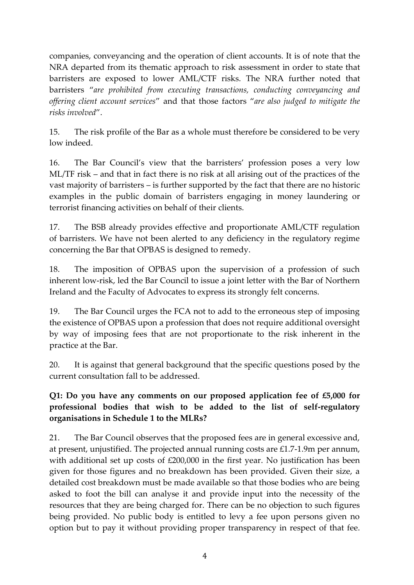companies, conveyancing and the operation of client accounts. It is of note that the NRA departed from its thematic approach to risk assessment in order to state that barristers are exposed to lower AML/CTF risks. The NRA further noted that barristers "*are prohibited from executing transactions, conducting conveyancing and offering client account services*" and that those factors "*are also judged to mitigate the risks involved*".

15. The risk profile of the Bar as a whole must therefore be considered to be very low indeed.

16. The Bar Council's view that the barristers' profession poses a very low ML/TF risk – and that in fact there is no risk at all arising out of the practices of the vast majority of barristers – is further supported by the fact that there are no historic examples in the public domain of barristers engaging in money laundering or terrorist financing activities on behalf of their clients.

17. The BSB already provides effective and proportionate AML/CTF regulation of barristers. We have not been alerted to any deficiency in the regulatory regime concerning the Bar that OPBAS is designed to remedy.

18. The imposition of OPBAS upon the supervision of a profession of such inherent low-risk, led the Bar Council to issue a joint letter with the Bar of Northern Ireland and the Faculty of Advocates to express its strongly felt concerns.

19. The Bar Council urges the FCA not to add to the erroneous step of imposing the existence of OPBAS upon a profession that does not require additional oversight by way of imposing fees that are not proportionate to the risk inherent in the practice at the Bar.

20. It is against that general background that the specific questions posed by the current consultation fall to be addressed.

#### **Q1: Do you have any comments on our proposed application fee of £5,000 for professional bodies that wish to be added to the list of self-regulatory organisations in Schedule 1 to the MLRs?**

21. The Bar Council observes that the proposed fees are in general excessive and, at present, unjustified. The projected annual running costs are £1.7-1.9m per annum, with additional set up costs of £200,000 in the first year. No justification has been given for those figures and no breakdown has been provided. Given their size, a detailed cost breakdown must be made available so that those bodies who are being asked to foot the bill can analyse it and provide input into the necessity of the resources that they are being charged for. There can be no objection to such figures being provided. No public body is entitled to levy a fee upon persons given no option but to pay it without providing proper transparency in respect of that fee.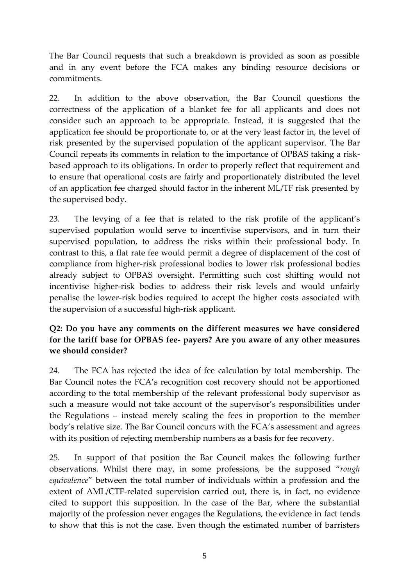The Bar Council requests that such a breakdown is provided as soon as possible and in any event before the FCA makes any binding resource decisions or commitments.

22. In addition to the above observation, the Bar Council questions the correctness of the application of a blanket fee for all applicants and does not consider such an approach to be appropriate. Instead, it is suggested that the application fee should be proportionate to, or at the very least factor in, the level of risk presented by the supervised population of the applicant supervisor. The Bar Council repeats its comments in relation to the importance of OPBAS taking a riskbased approach to its obligations. In order to properly reflect that requirement and to ensure that operational costs are fairly and proportionately distributed the level of an application fee charged should factor in the inherent ML/TF risk presented by the supervised body.

23. The levying of a fee that is related to the risk profile of the applicant's supervised population would serve to incentivise supervisors, and in turn their supervised population, to address the risks within their professional body. In contrast to this, a flat rate fee would permit a degree of displacement of the cost of compliance from higher-risk professional bodies to lower risk professional bodies already subject to OPBAS oversight. Permitting such cost shifting would not incentivise higher-risk bodies to address their risk levels and would unfairly penalise the lower-risk bodies required to accept the higher costs associated with the supervision of a successful high-risk applicant.

#### **Q2: Do you have any comments on the different measures we have considered for the tariff base for OPBAS fee- payers? Are you aware of any other measures we should consider?**

24. The FCA has rejected the idea of fee calculation by total membership. The Bar Council notes the FCA's recognition cost recovery should not be apportioned according to the total membership of the relevant professional body supervisor as such a measure would not take account of the supervisor's responsibilities under the Regulations – instead merely scaling the fees in proportion to the member body's relative size. The Bar Council concurs with the FCA's assessment and agrees with its position of rejecting membership numbers as a basis for fee recovery.

25. In support of that position the Bar Council makes the following further observations. Whilst there may, in some professions, be the supposed "*rough equivalence*" between the total number of individuals within a profession and the extent of AML/CTF-related supervision carried out, there is, in fact, no evidence cited to support this supposition. In the case of the Bar, where the substantial majority of the profession never engages the Regulations, the evidence in fact tends to show that this is not the case. Even though the estimated number of barristers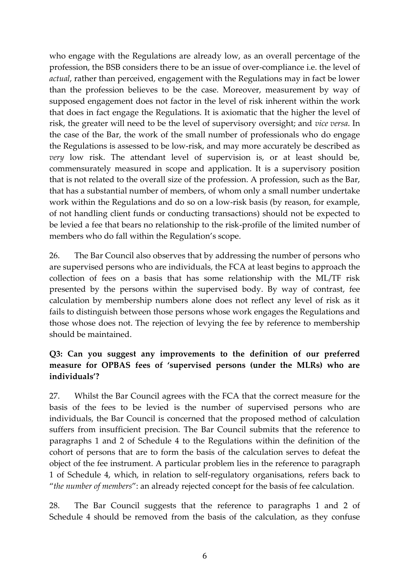who engage with the Regulations are already low, as an overall percentage of the profession, the BSB considers there to be an issue of over-compliance i.e. the level of *actual*, rather than perceived, engagement with the Regulations may in fact be lower than the profession believes to be the case. Moreover, measurement by way of supposed engagement does not factor in the level of risk inherent within the work that does in fact engage the Regulations. It is axiomatic that the higher the level of risk, the greater will need to be the level of supervisory oversight; and *vice versa*. In the case of the Bar, the work of the small number of professionals who do engage the Regulations is assessed to be low-risk, and may more accurately be described as *very* low risk. The attendant level of supervision is, or at least should be, commensurately measured in scope and application. It is a supervisory position that is not related to the overall size of the profession. A profession, such as the Bar, that has a substantial number of members, of whom only a small number undertake work within the Regulations and do so on a low-risk basis (by reason, for example, of not handling client funds or conducting transactions) should not be expected to be levied a fee that bears no relationship to the risk-profile of the limited number of members who do fall within the Regulation's scope.

26. The Bar Council also observes that by addressing the number of persons who are supervised persons who are individuals, the FCA at least begins to approach the collection of fees on a basis that has some relationship with the ML/TF risk presented by the persons within the supervised body. By way of contrast, fee calculation by membership numbers alone does not reflect any level of risk as it fails to distinguish between those persons whose work engages the Regulations and those whose does not. The rejection of levying the fee by reference to membership should be maintained.

#### **Q3: Can you suggest any improvements to the definition of our preferred measure for OPBAS fees of 'supervised persons (under the MLRs) who are individuals'?**

27. Whilst the Bar Council agrees with the FCA that the correct measure for the basis of the fees to be levied is the number of supervised persons who are individuals, the Bar Council is concerned that the proposed method of calculation suffers from insufficient precision. The Bar Council submits that the reference to paragraphs 1 and 2 of Schedule 4 to the Regulations within the definition of the cohort of persons that are to form the basis of the calculation serves to defeat the object of the fee instrument. A particular problem lies in the reference to paragraph 1 of Schedule 4, which, in relation to self-regulatory organisations, refers back to "*the number of members*": an already rejected concept for the basis of fee calculation.

28. The Bar Council suggests that the reference to paragraphs 1 and 2 of Schedule 4 should be removed from the basis of the calculation, as they confuse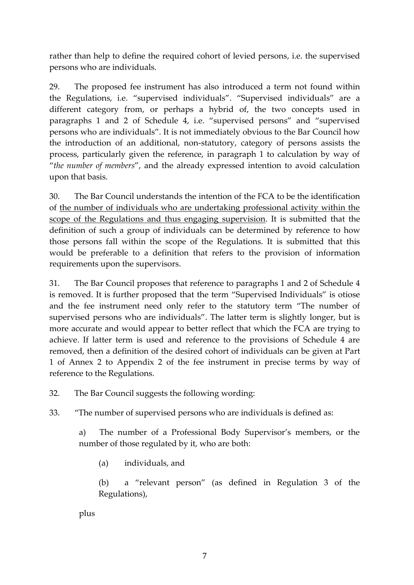rather than help to define the required cohort of levied persons, i.e. the supervised persons who are individuals.

29. The proposed fee instrument has also introduced a term not found within the Regulations, i.e. "supervised individuals". "Supervised individuals" are a different category from, or perhaps a hybrid of, the two concepts used in paragraphs 1 and 2 of Schedule 4, i.e. "supervised persons" and "supervised persons who are individuals". It is not immediately obvious to the Bar Council how the introduction of an additional, non-statutory, category of persons assists the process, particularly given the reference, in paragraph 1 to calculation by way of "*the number of members*", and the already expressed intention to avoid calculation upon that basis.

30. The Bar Council understands the intention of the FCA to be the identification of the number of individuals who are undertaking professional activity within the scope of the Regulations and thus engaging supervision. It is submitted that the definition of such a group of individuals can be determined by reference to how those persons fall within the scope of the Regulations. It is submitted that this would be preferable to a definition that refers to the provision of information requirements upon the supervisors.

31. The Bar Council proposes that reference to paragraphs 1 and 2 of Schedule 4 is removed. It is further proposed that the term "Supervised Individuals" is otiose and the fee instrument need only refer to the statutory term "The number of supervised persons who are individuals". The latter term is slightly longer, but is more accurate and would appear to better reflect that which the FCA are trying to achieve. If latter term is used and reference to the provisions of Schedule 4 are removed, then a definition of the desired cohort of individuals can be given at Part 1 of Annex 2 to Appendix 2 of the fee instrument in precise terms by way of reference to the Regulations.

32. The Bar Council suggests the following wording:

33. "The number of supervised persons who are individuals is defined as:

a) The number of a Professional Body Supervisor's members, or the number of those regulated by it, who are both:

(a) individuals, and

(b) a "relevant person" (as defined in Regulation 3 of the Regulations),

plus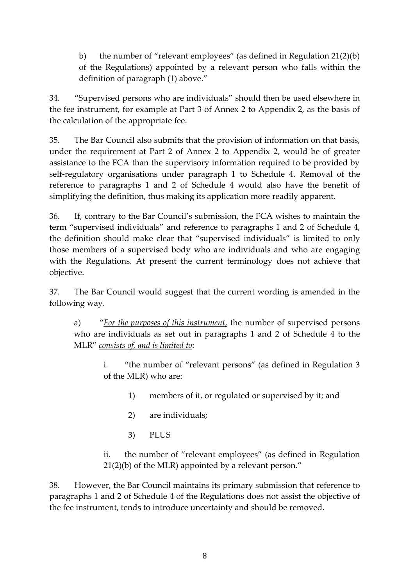b) the number of "relevant employees" (as defined in Regulation 21(2)(b) of the Regulations) appointed by a relevant person who falls within the definition of paragraph (1) above."

34. "Supervised persons who are individuals" should then be used elsewhere in the fee instrument, for example at Part 3 of Annex 2 to Appendix 2, as the basis of the calculation of the appropriate fee.

35. The Bar Council also submits that the provision of information on that basis, under the requirement at Part 2 of Annex 2 to Appendix 2, would be of greater assistance to the FCA than the supervisory information required to be provided by self-regulatory organisations under paragraph 1 to Schedule 4. Removal of the reference to paragraphs 1 and 2 of Schedule 4 would also have the benefit of simplifying the definition, thus making its application more readily apparent.

36. If, contrary to the Bar Council's submission, the FCA wishes to maintain the term "supervised individuals" and reference to paragraphs 1 and 2 of Schedule 4, the definition should make clear that "supervised individuals" is limited to only those members of a supervised body who are individuals and who are engaging with the Regulations. At present the current terminology does not achieve that objective.

37. The Bar Council would suggest that the current wording is amended in the following way.

a) "*For the purposes of this instrument*, the number of supervised persons who are individuals as set out in paragraphs 1 and 2 of Schedule 4 to the MLR" *consists of, and is limited to*:

> i. "the number of "relevant persons" (as defined in Regulation 3 of the MLR) who are:

- 1) members of it, or regulated or supervised by it; and
- 2) are individuals;
- 3) PLUS

ii. the number of "relevant employees" (as defined in Regulation 21(2)(b) of the MLR) appointed by a relevant person."

38. However, the Bar Council maintains its primary submission that reference to paragraphs 1 and 2 of Schedule 4 of the Regulations does not assist the objective of the fee instrument, tends to introduce uncertainty and should be removed.